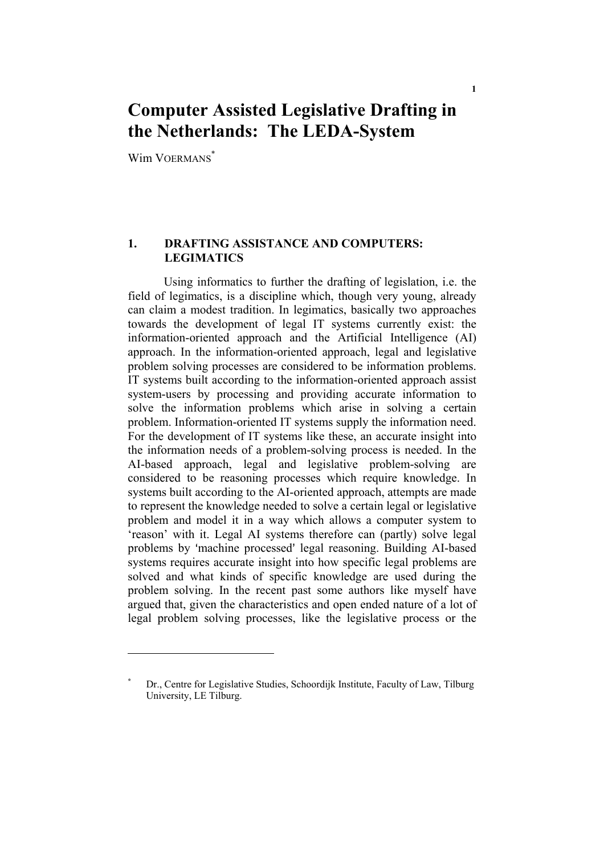# **Computer Assisted Legislative Drafting in the Netherlands: The LEDA-System**

Wim VOERMANS<sup>\*</sup>

# **1. DRAFTING ASSISTANCE AND COMPUTERS: LEGIMATICS**

 Using informatics to further the drafting of legislation, i.e. the field of legimatics, is a discipline which, though very young, already can claim a modest tradition. In legimatics, basically two approaches towards the development of legal IT systems currently exist: the information-oriented approach and the Artificial Intelligence (AI) approach. In the information-oriented approach, legal and legislative problem solving processes are considered to be information problems. IT systems built according to the information-oriented approach assist system-users by processing and providing accurate information to solve the information problems which arise in solving a certain problem. Information-oriented IT systems supply the information need. For the development of IT systems like these, an accurate insight into the information needs of a problem-solving process is needed. In the AI-based approach, legal and legislative problem-solving are considered to be reasoning processes which require knowledge. In systems built according to the AI-oriented approach, attempts are made to represent the knowledge needed to solve a certain legal or legislative problem and model it in a way which allows a computer system to 'reason' with it. Legal AI systems therefore can (partly) solve legal problems by 'machine processed' legal reasoning. Building AI-based systems requires accurate insight into how specific legal problems are solved and what kinds of specific knowledge are used during the problem solving. In the recent past some authors like myself have argued that, given the characteristics and open ended nature of a lot of legal problem solving processes, like the legislative process or the

**<sup>\*</sup>** Dr., Centre for Legislative Studies, Schoordijk Institute, Faculty of Law, Tilburg University, LE Tilburg.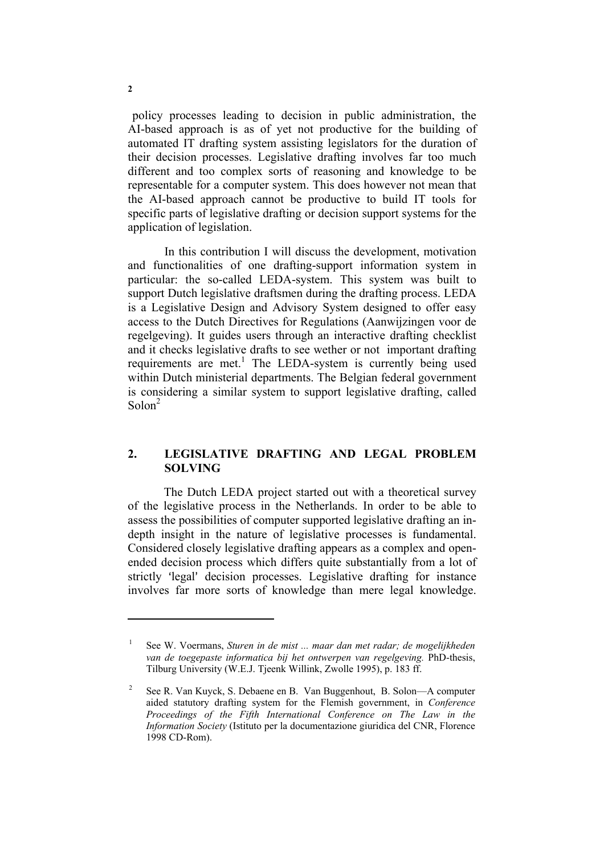policy processes leading to decision in public administration, the AI-based approach is as of yet not productive for the building of automated IT drafting system assisting legislators for the duration of their decision processes. Legislative drafting involves far too much different and too complex sorts of reasoning and knowledge to be representable for a computer system. This does however not mean that the AI-based approach cannot be productive to build IT tools for specific parts of legislative drafting or decision support systems for the application of legislation.

In this contribution I will discuss the development, motivation and functionalities of one drafting-support information system in particular: the so-called LEDA-system. This system was built to support Dutch legislative draftsmen during the drafting process. LEDA is a Legislative Design and Advisory System designed to offer easy access to the Dutch Directives for Regulations (Aanwijzingen voor de regelgeving). It guides users through an interactive drafting checklist and it checks legislative drafts to see wether or not important drafting requirements are met.<sup>1</sup> The LEDA-system is currently being used within Dutch ministerial departments. The Belgian federal government is considering a similar system to support legislative drafting, called Solon<sup>2</sup>

# **2. LEGISLATIVE DRAFTING AND LEGAL PROBLEM SOLVING**

 The Dutch LEDA project started out with a theoretical survey of the legislative process in the Netherlands. In order to be able to assess the possibilities of computer supported legislative drafting an indepth insight in the nature of legislative processes is fundamental. Considered closely legislative drafting appears as a complex and openended decision process which differs quite substantially from a lot of strictly 'legal' decision processes. Legislative drafting for instance involves far more sorts of knowledge than mere legal knowledge.

<sup>1</sup> See W. Voermans, *Sturen in de mist ... maar dan met radar; de mogelijkheden van de toegepaste informatica bij het ontwerpen van regelgeving.* PhD-thesis, Tilburg University (W.E.J. Tjeenk Willink, Zwolle 1995), p. 183 ff.

<sup>2</sup> See R. Van Kuyck, S. Debaene en B. Van Buggenhout, B. Solon—A computer aided statutory drafting system for the Flemish government, in *Conference Proceedings of the Fifth International Conference on The Law in the Information Society* (Istituto per la documentazione giuridica del CNR, Florence 1998 CD-Rom).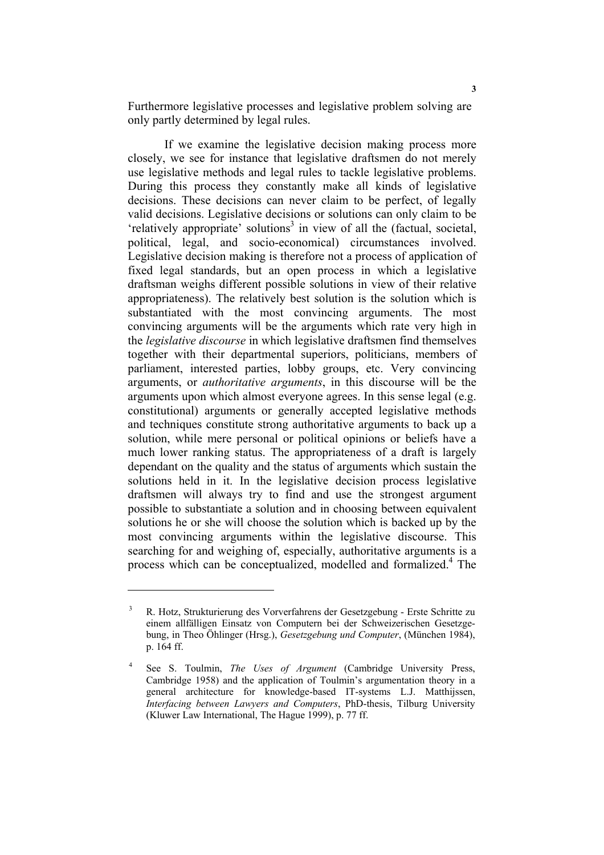Furthermore legislative processes and legislative problem solving are only partly determined by legal rules.

If we examine the legislative decision making process more closely, we see for instance that legislative draftsmen do not merely use legislative methods and legal rules to tackle legislative problems. During this process they constantly make all kinds of legislative decisions. These decisions can never claim to be perfect, of legally valid decisions. Legislative decisions or solutions can only claim to be 'relatively appropriate' solutions<sup>3</sup> in view of all the (factual, societal, political, legal, and socio-economical) circumstances involved. Legislative decision making is therefore not a process of application of fixed legal standards, but an open process in which a legislative draftsman weighs different possible solutions in view of their relative appropriateness). The relatively best solution is the solution which is substantiated with the most convincing arguments. The most convincing arguments will be the arguments which rate very high in the *legislative discourse* in which legislative draftsmen find themselves together with their departmental superiors, politicians, members of parliament, interested parties, lobby groups, etc. Very convincing arguments, or *authoritative arguments*, in this discourse will be the arguments upon which almost everyone agrees. In this sense legal (e.g. constitutional) arguments or generally accepted legislative methods and techniques constitute strong authoritative arguments to back up a solution, while mere personal or political opinions or beliefs have a much lower ranking status. The appropriateness of a draft is largely dependant on the quality and the status of arguments which sustain the solutions held in it. In the legislative decision process legislative draftsmen will always try to find and use the strongest argument possible to substantiate a solution and in choosing between equivalent solutions he or she will choose the solution which is backed up by the most convincing arguments within the legislative discourse. This searching for and weighing of, especially, authoritative arguments is a process which can be conceptualized, modelled and formalized.<sup>4</sup> The

<sup>3</sup> R. Hotz, Strukturierung des Vorverfahrens der Gesetzgebung - Erste Schritte zu einem allfälligen Einsatz von Computern bei der Schweizerischen Gesetzgebung, in Theo Öhlinger (Hrsg.), *Gesetzgebung und Computer*, (München 1984), p. 164 ff.

<sup>4</sup> See S. Toulmin, *The Uses of Argument* (Cambridge University Press, Cambridge 1958) and the application of Toulmin's argumentation theory in a general architecture for knowledge-based IT-systems L.J. Matthijssen, *Interfacing between Lawyers and Computers*, PhD-thesis, Tilburg University (Kluwer Law International, The Hague 1999), p. 77 ff.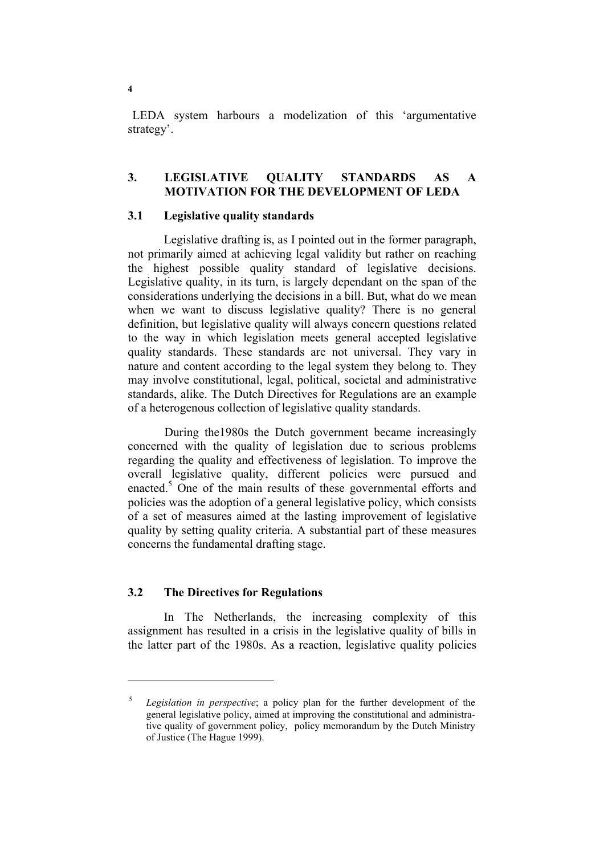LEDA system harbours a modelization of this 'argumentative strategy'.

## **3. LEGISLATIVE QUALITY STANDARDS AS A MOTIVATION FOR THE DEVELOPMENT OF LEDA**

#### **3.1 Legislative quality standards**

 Legislative drafting is, as I pointed out in the former paragraph, not primarily aimed at achieving legal validity but rather on reaching the highest possible quality standard of legislative decisions. Legislative quality, in its turn, is largely dependant on the span of the considerations underlying the decisions in a bill. But, what do we mean when we want to discuss legislative quality? There is no general definition, but legislative quality will always concern questions related to the way in which legislation meets general accepted legislative quality standards. These standards are not universal. They vary in nature and content according to the legal system they belong to. They may involve constitutional, legal, political, societal and administrative standards, alike. The Dutch Directives for Regulations are an example of a heterogenous collection of legislative quality standards.

During the1980s the Dutch government became increasingly concerned with the quality of legislation due to serious problems regarding the quality and effectiveness of legislation. To improve the overall legislative quality, different policies were pursued and enacted.<sup>5</sup> One of the main results of these governmental efforts and policies was the adoption of a general legislative policy, which consists of a set of measures aimed at the lasting improvement of legislative quality by setting quality criteria. A substantial part of these measures concerns the fundamental drafting stage.

#### **3.2 The Directives for Regulations**

 In The Netherlands, the increasing complexity of this assignment has resulted in a crisis in the legislative quality of bills in the latter part of the 1980s. As a reaction, legislative quality policies

<sup>5</sup> *Legislation in perspective*; a policy plan for the further development of the general legislative policy, aimed at improving the constitutional and administrative quality of government policy, policy memorandum by the Dutch Ministry of Justice (The Hague 1999).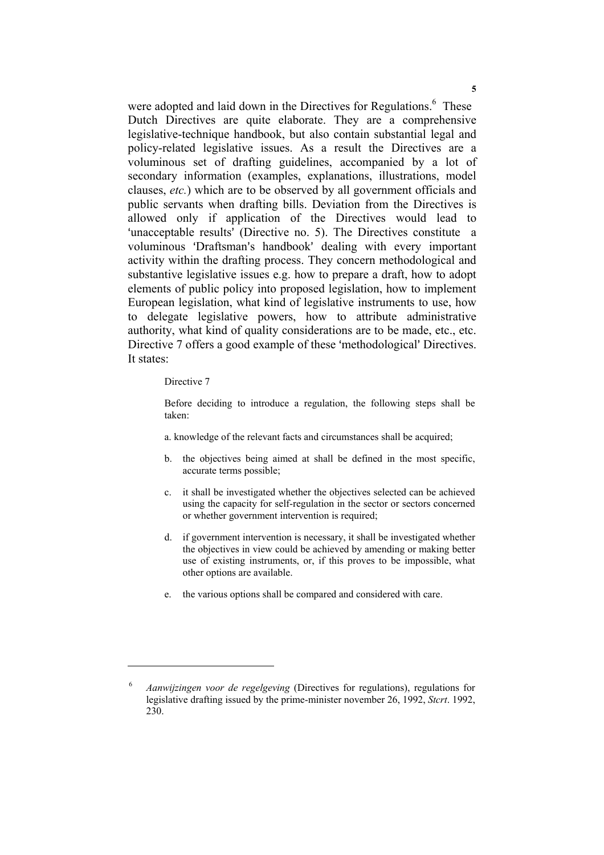were adopted and laid down in the Directives for Regulations.<sup>6</sup> These Dutch Directives are quite elaborate. They are a comprehensive legislative-technique handbook, but also contain substantial legal and policy-related legislative issues. As a result the Directives are a voluminous set of drafting guidelines, accompanied by a lot of secondary information (examples, explanations, illustrations, model clauses, *etc.*) which are to be observed by all government officials and public servants when drafting bills. Deviation from the Directives is allowed only if application of the Directives would lead to 'unacceptable results' (Directive no. 5). The Directives constitute a voluminous 'Draftsman's handbook' dealing with every important activity within the drafting process. They concern methodological and substantive legislative issues e.g. how to prepare a draft, how to adopt elements of public policy into proposed legislation, how to implement European legislation, what kind of legislative instruments to use, how to delegate legislative powers, how to attribute administrative authority, what kind of quality considerations are to be made, etc., etc. Directive 7 offers a good example of these 'methodological' Directives. It states:

#### Directive 7

Before deciding to introduce a regulation, the following steps shall be taken:

a. knowledge of the relevant facts and circumstances shall be acquired;

- b. the objectives being aimed at shall be defined in the most specific, accurate terms possible;
- c. it shall be investigated whether the objectives selected can be achieved using the capacity for self-regulation in the sector or sectors concerned or whether government intervention is required;
- d. if government intervention is necessary, it shall be investigated whether the objectives in view could be achieved by amending or making better use of existing instruments, or, if this proves to be impossible, what other options are available.
- e. the various options shall be compared and considered with care.

<sup>6</sup> *Aanwijzingen voor de regelgeving* (Directives for regulations), regulations for legislative drafting issued by the prime-minister november 26, 1992, *Stcrt*. 1992, 230.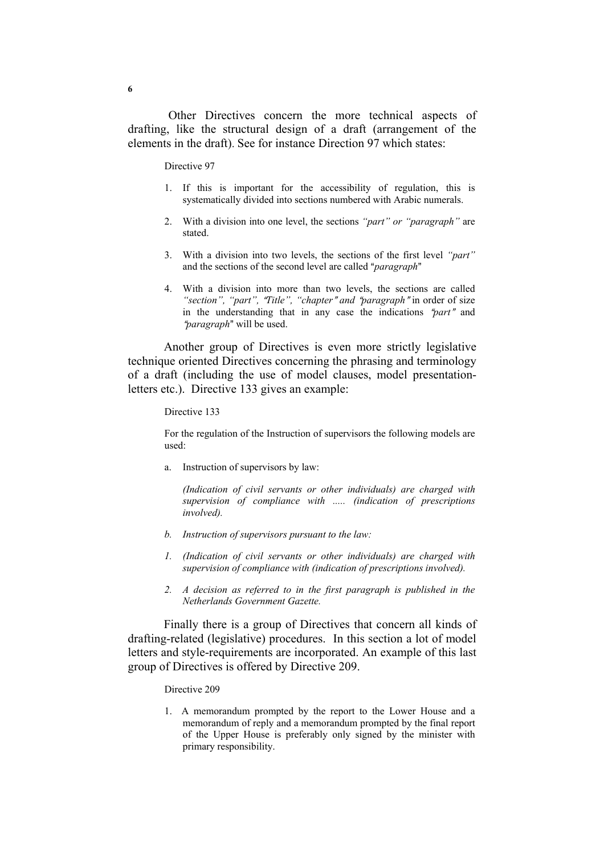Other Directives concern the more technical aspects of drafting, like the structural design of a draft (arrangement of the elements in the draft). See for instance Direction 97 which states:

Directive 97

- 1. If this is important for the accessibility of regulation, this is systematically divided into sections numbered with Arabic numerals.
- 2. With a division into one level, the sections *"part" or "paragraph"* are stated.
- 3. With a division into two levels, the sections of the first level *"part"*  and the sections of the second level are called "*paragraph*"
- 4. With a division into more than two levels, the sections are called "section", "part", "Title", "chapter" and "paragraph" in order of size in the understanding that in any case the indications "part" and *"paragraph*" will be used.

 Another group of Directives is even more strictly legislative technique oriented Directives concerning the phrasing and terminology of a draft (including the use of model clauses, model presentationletters etc.). Directive 133 gives an example:

Directive 133

For the regulation of the Instruction of supervisors the following models are used:

a. Instruction of supervisors by law:

 *(Indication of civil servants or other individuals) are charged with supervision of compliance with ..... (indication of prescriptions involved).*

- *b. Instruction of supervisors pursuant to the law:*
- *1. (Indication of civil servants or other individuals) are charged with supervision of compliance with (indication of prescriptions involved).*
- *2. A decision as referred to in the first paragraph is published in the Netherlands Government Gazette.*

 Finally there is a group of Directives that concern all kinds of drafting-related (legislative) procedures. In this section a lot of model letters and style-requirements are incorporated. An example of this last group of Directives is offered by Directive 209.

#### Directive 209

1. A memorandum prompted by the report to the Lower House and a memorandum of reply and a memorandum prompted by the final report of the Upper House is preferably only signed by the minister with primary responsibility.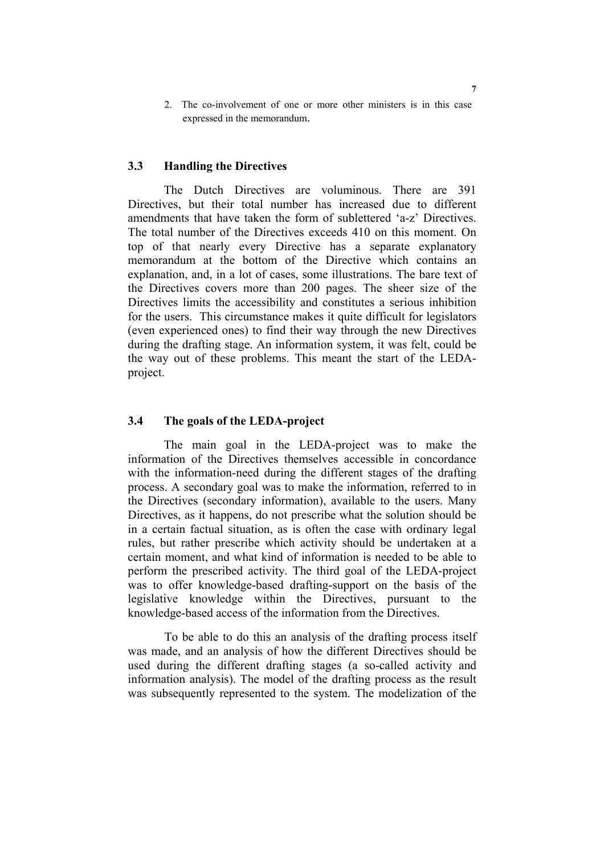2. The co-involvement of one or more other ministers is in this case expressed in the memorandum.

# **3.3 Handling the Directives**

 The Dutch Directives are voluminous. There are 391 Directives, but their total number has increased due to different amendments that have taken the form of sublettered 'a-z' Directives. The total number of the Directives exceeds 410 on this moment. On top of that nearly every Directive has a separate explanatory memorandum at the bottom of the Directive which contains an explanation, and, in a lot of cases, some illustrations. The bare text of the Directives covers more than 200 pages. The sheer size of the Directives limits the accessibility and constitutes a serious inhibition for the users. This circumstance makes it quite difficult for legislators (even experienced ones) to find their way through the new Directives during the drafting stage. An information system, it was felt, could be the way out of these problems. This meant the start of the LEDAproject.

# **3.4 The goals of the LEDA-project**

 The main goal in the LEDA-project was to make the information of the Directives themselves accessible in concordance with the information-need during the different stages of the drafting process. A secondary goal was to make the information, referred to in the Directives (secondary information), available to the users. Many Directives, as it happens, do not prescribe what the solution should be in a certain factual situation, as is often the case with ordinary legal rules, but rather prescribe which activity should be undertaken at a certain moment, and what kind of information is needed to be able to perform the prescribed activity. The third goal of the LEDA-project was to offer knowledge-based drafting-support on the basis of the legislative knowledge within the Directives, pursuant to the knowledge-based access of the information from the Directives.

To be able to do this an analysis of the drafting process itself was made, and an analysis of how the different Directives should be used during the different drafting stages (a so-called activity and information analysis). The model of the drafting process as the result was subsequently represented to the system. The modelization of the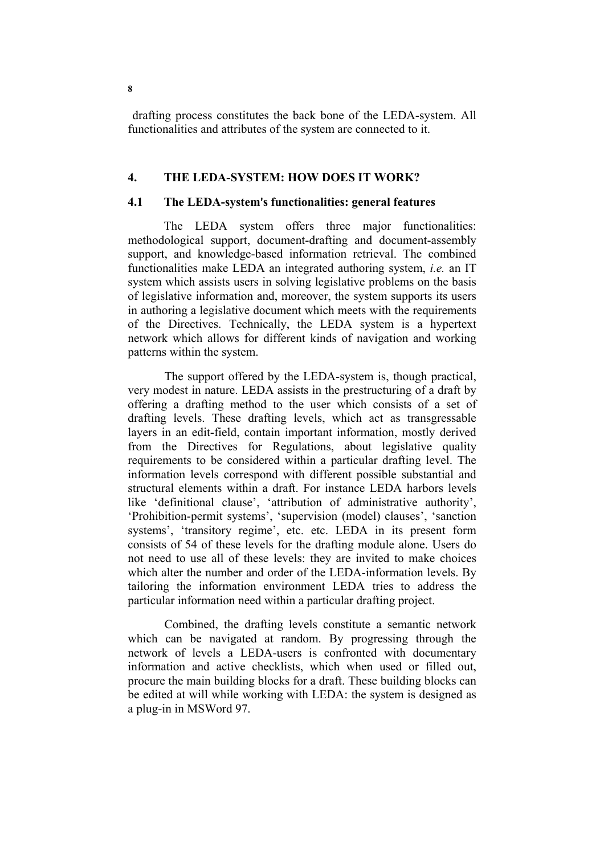drafting process constitutes the back bone of the LEDA-system. All functionalities and attributes of the system are connected to it.

# **4. THE LEDA-SYSTEM: HOW DOES IT WORK?**

#### **4.1 The LEDA-system**=**s functionalities: general features**

 The LEDA system offers three major functionalities: methodological support, document-drafting and document-assembly support, and knowledge-based information retrieval. The combined functionalities make LEDA an integrated authoring system, *i.e.* an IT system which assists users in solving legislative problems on the basis of legislative information and, moreover, the system supports its users in authoring a legislative document which meets with the requirements of the Directives. Technically, the LEDA system is a hypertext network which allows for different kinds of navigation and working patterns within the system.

The support offered by the LEDA-system is, though practical, very modest in nature. LEDA assists in the prestructuring of a draft by offering a drafting method to the user which consists of a set of drafting levels. These drafting levels, which act as transgressable layers in an edit-field, contain important information, mostly derived from the Directives for Regulations, about legislative quality requirements to be considered within a particular drafting level. The information levels correspond with different possible substantial and structural elements within a draft. For instance LEDA harbors levels like 'definitional clause', 'attribution of administrative authority', 'Prohibition-permit systems', 'supervision (model) clauses', 'sanction systems', 'transitory regime', etc. etc. LEDA in its present form consists of 54 of these levels for the drafting module alone. Users do not need to use all of these levels: they are invited to make choices which alter the number and order of the LEDA-information levels. By tailoring the information environment LEDA tries to address the particular information need within a particular drafting project.

Combined, the drafting levels constitute a semantic network which can be navigated at random. By progressing through the network of levels a LEDA-users is confronted with documentary information and active checklists, which when used or filled out, procure the main building blocks for a draft. These building blocks can be edited at will while working with LEDA: the system is designed as a plug-in in MSWord 97.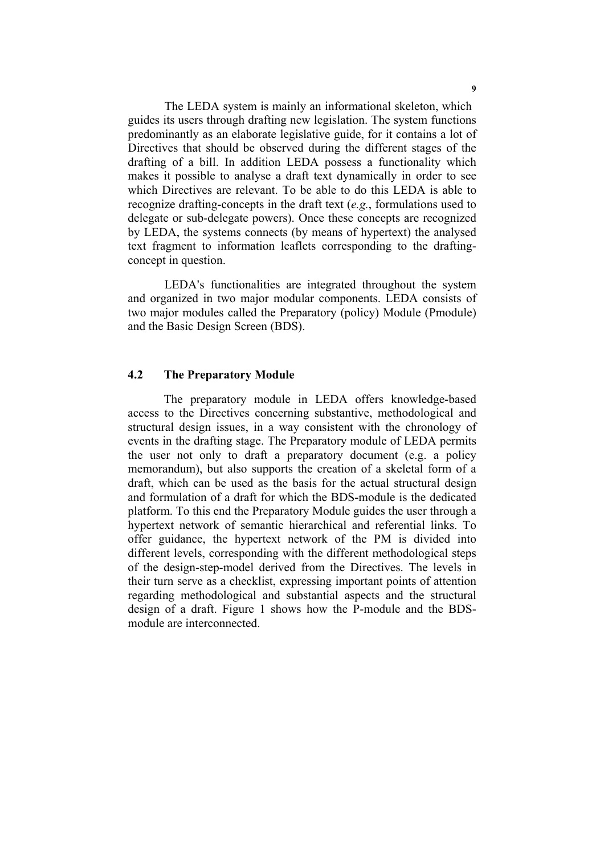The LEDA system is mainly an informational skeleton, which guides its users through drafting new legislation. The system functions predominantly as an elaborate legislative guide, for it contains a lot of Directives that should be observed during the different stages of the drafting of a bill. In addition LEDA possess a functionality which makes it possible to analyse a draft text dynamically in order to see which Directives are relevant. To be able to do this LEDA is able to recognize drafting-concepts in the draft text (*e.g.*, formulations used to delegate or sub-delegate powers). Once these concepts are recognized by LEDA, the systems connects (by means of hypertext) the analysed text fragment to information leaflets corresponding to the draftingconcept in question.

LEDA's functionalities are integrated throughout the system and organized in two major modular components. LEDA consists of two major modules called the Preparatory (policy) Module (Pmodule) and the Basic Design Screen (BDS).

# **4.2 The Preparatory Module**

 The preparatory module in LEDA offers knowledge-based access to the Directives concerning substantive, methodological and structural design issues, in a way consistent with the chronology of events in the drafting stage. The Preparatory module of LEDA permits the user not only to draft a preparatory document (e.g. a policy memorandum), but also supports the creation of a skeletal form of a draft, which can be used as the basis for the actual structural design and formulation of a draft for which the BDS-module is the dedicated platform. To this end the Preparatory Module guides the user through a hypertext network of semantic hierarchical and referential links. To offer guidance, the hypertext network of the PM is divided into different levels, corresponding with the different methodological steps of the design-step-model derived from the Directives. The levels in their turn serve as a checklist, expressing important points of attention regarding methodological and substantial aspects and the structural design of a draft. Figure 1 shows how the P-module and the BDSmodule are interconnected.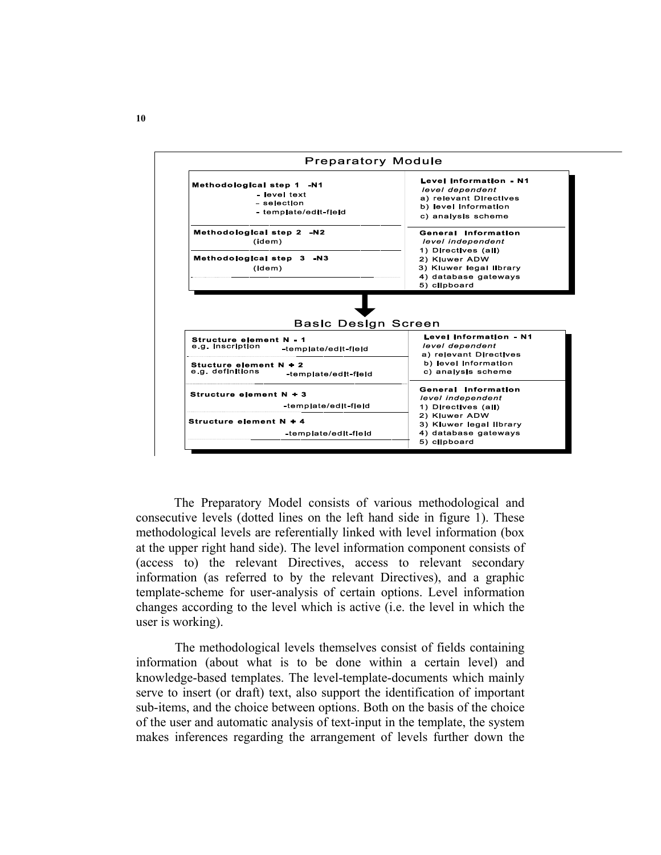

 The Preparatory Model consists of various methodological and consecutive levels (dotted lines on the left hand side in figure 1). These methodological levels are referentially linked with level information (box at the upper right hand side). The level information component consists of (access to) the relevant Directives, access to relevant secondary information (as referred to by the relevant Directives), and a graphic template-scheme for user-analysis of certain options. Level information changes according to the level which is active (i.e. the level in which the user is working).

The methodological levels themselves consist of fields containing information (about what is to be done within a certain level) and knowledge-based templates. The level-template-documents which mainly serve to insert (or draft) text, also support the identification of important sub-items, and the choice between options. Both on the basis of the choice of the user and automatic analysis of text-input in the template, the system makes inferences regarding the arrangement of levels further down the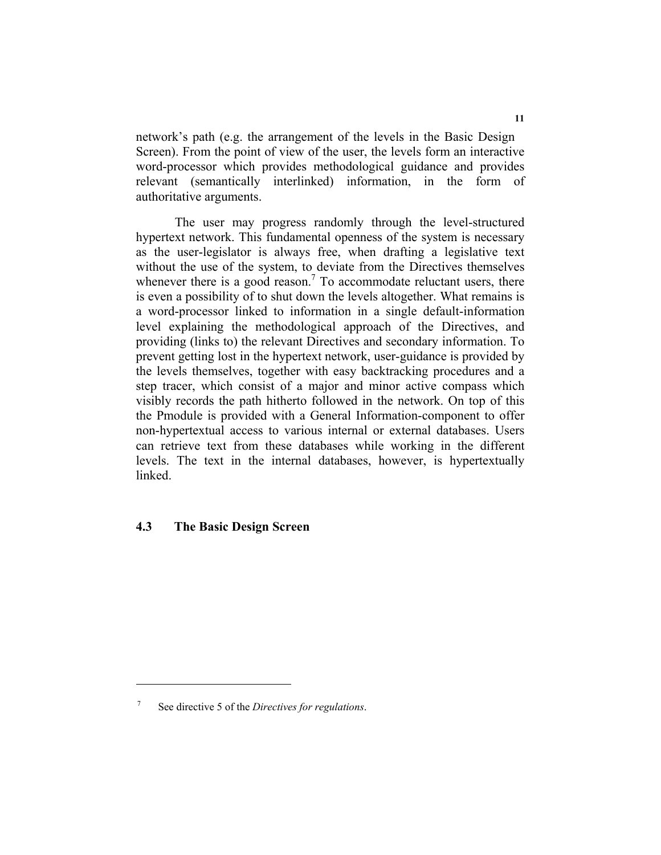network's path (e.g. the arrangement of the levels in the Basic Design Screen). From the point of view of the user, the levels form an interactive word-processor which provides methodological guidance and provides relevant (semantically interlinked) information, in the form of authoritative arguments.

The user may progress randomly through the level-structured hypertext network. This fundamental openness of the system is necessary as the user-legislator is always free, when drafting a legislative text without the use of the system, to deviate from the Directives themselves whenever there is a good reason.<sup>7</sup> To accommodate reluctant users, there is even a possibility of to shut down the levels altogether. What remains is a word-processor linked to information in a single default-information level explaining the methodological approach of the Directives, and providing (links to) the relevant Directives and secondary information. To prevent getting lost in the hypertext network, user-guidance is provided by the levels themselves, together with easy backtracking procedures and a step tracer, which consist of a major and minor active compass which visibly records the path hitherto followed in the network. On top of this the Pmodule is provided with a General Information-component to offer non-hypertextual access to various internal or external databases. Users can retrieve text from these databases while working in the different levels. The text in the internal databases, however, is hypertextually linked.

# **4.3 The Basic Design Screen**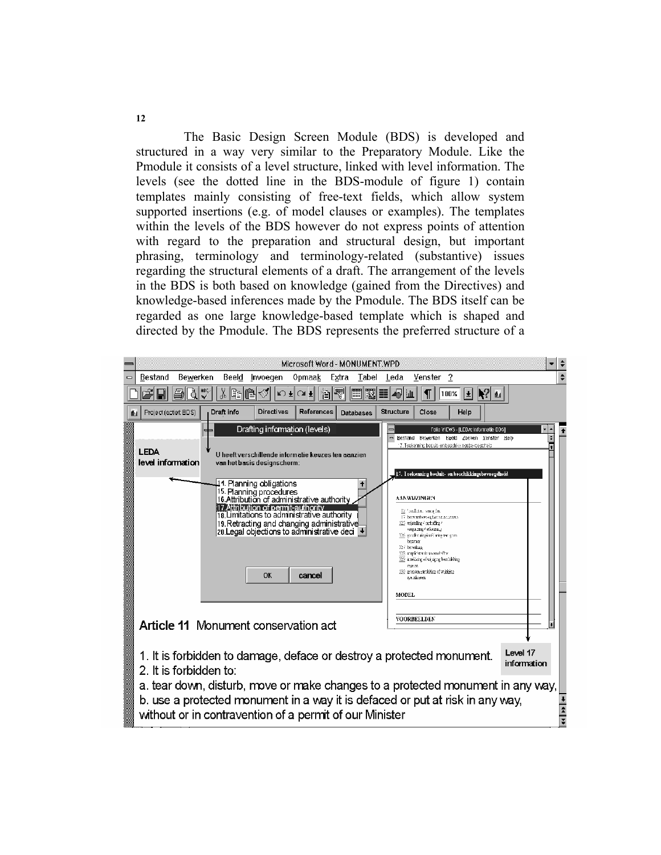The Basic Design Screen Module (BDS) is developed and structured in a way very similar to the Preparatory Module. Like the Pmodule it consists of a level structure, linked with level information. The levels (see the dotted line in the BDS-module of figure 1) contain templates mainly consisting of free-text fields, which allow system supported insertions (e.g. of model clauses or examples). The templates within the levels of the BDS however do not express points of attention with regard to the preparation and structural design, but important phrasing, terminology and terminology-related (substantive) issues regarding the structural elements of a draft. The arrangement of the levels in the BDS is both based on knowledge (gained from the Directives) and knowledge-based inferences made by the Pmodule. The BDS itself can be regarded as one large knowledge-based template which is shaped and directed by the Pmodule. The BDS represents the preferred structure of a

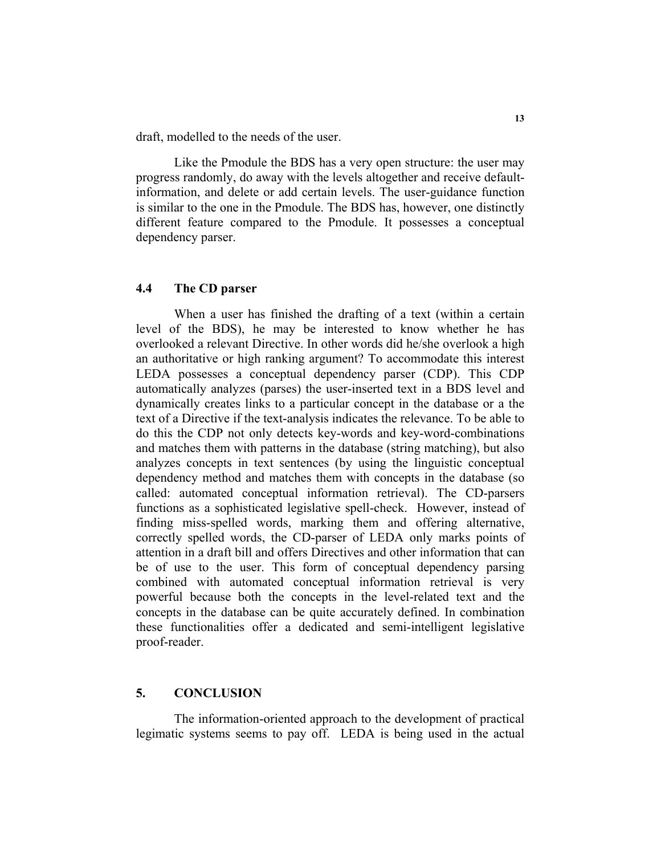draft, modelled to the needs of the user.

 Like the Pmodule the BDS has a very open structure: the user may progress randomly, do away with the levels altogether and receive defaultinformation, and delete or add certain levels. The user-guidance function is similar to the one in the Pmodule. The BDS has, however, one distinctly different feature compared to the Pmodule. It possesses a conceptual dependency parser.

#### **4.4 The CD parser**

 When a user has finished the drafting of a text (within a certain level of the BDS), he may be interested to know whether he has overlooked a relevant Directive. In other words did he/she overlook a high an authoritative or high ranking argument? To accommodate this interest LEDA possesses a conceptual dependency parser (CDP). This CDP automatically analyzes (parses) the user-inserted text in a BDS level and dynamically creates links to a particular concept in the database or a the text of a Directive if the text-analysis indicates the relevance. To be able to do this the CDP not only detects key-words and key-word-combinations and matches them with patterns in the database (string matching), but also analyzes concepts in text sentences (by using the linguistic conceptual dependency method and matches them with concepts in the database (so called: automated conceptual information retrieval). The CD-parsers functions as a sophisticated legislative spell-check. However, instead of finding miss-spelled words, marking them and offering alternative, correctly spelled words, the CD-parser of LEDA only marks points of attention in a draft bill and offers Directives and other information that can be of use to the user. This form of conceptual dependency parsing combined with automated conceptual information retrieval is very powerful because both the concepts in the level-related text and the concepts in the database can be quite accurately defined. In combination these functionalities offer a dedicated and semi-intelligent legislative proof-reader.

#### **5. CONCLUSION**

 The information-oriented approach to the development of practical legimatic systems seems to pay off. LEDA is being used in the actual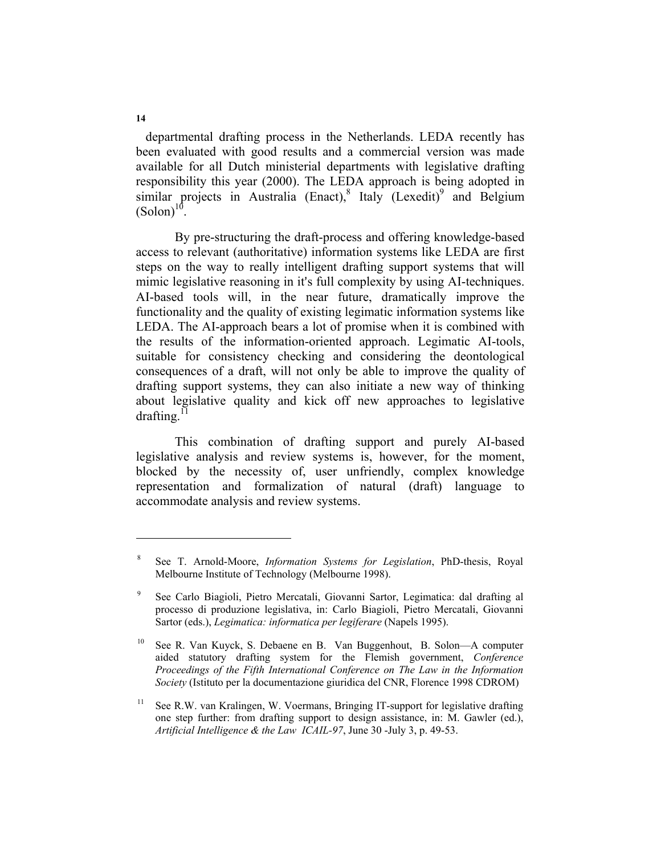departmental drafting process in the Netherlands. LEDA recently has been evaluated with good results and a commercial version was made available for all Dutch ministerial departments with legislative drafting responsibility this year (2000). The LEDA approach is being adopted in similar projects in Australia  $(Enact),$ <sup>8</sup> Italy  $(Lexedit)$ <sup>9</sup> and Belgium  $(Solon)^{10}$ .

By pre-structuring the draft-process and offering knowledge-based access to relevant (authoritative) information systems like LEDA are first steps on the way to really intelligent drafting support systems that will mimic legislative reasoning in it's full complexity by using AI-techniques. AI-based tools will, in the near future, dramatically improve the functionality and the quality of existing legimatic information systems like LEDA. The AI-approach bears a lot of promise when it is combined with the results of the information-oriented approach. Legimatic AI-tools, suitable for consistency checking and considering the deontological consequences of a draft, will not only be able to improve the quality of drafting support systems, they can also initiate a new way of thinking about legislative quality and kick off new approaches to legislative  $drating.<sup>11</sup>$ 

This combination of drafting support and purely AI-based legislative analysis and review systems is, however, for the moment, blocked by the necessity of, user unfriendly, complex knowledge representation and formalization of natural (draft) language to accommodate analysis and review systems.

**14** 

<sup>8</sup> See T. Arnold-Moore, *Information Systems for Legislation*, PhD-thesis, Royal Melbourne Institute of Technology (Melbourne 1998).

<sup>9</sup> See Carlo Biagioli, Pietro Mercatali, Giovanni Sartor, Legimatica: dal drafting al processo di produzione legislativa, in: Carlo Biagioli, Pietro Mercatali, Giovanni Sartor (eds.), *Legimatica: informatica per legiferare* (Napels 1995).

<sup>10</sup> See R. Van Kuyck, S. Debaene en B. Van Buggenhout, B. Solon—A computer aided statutory drafting system for the Flemish government, *Conference Proceedings of the Fifth International Conference on The Law in the Information Society* (Istituto per la documentazione giuridica del CNR, Florence 1998 CDROM)

<sup>&</sup>lt;sup>11</sup> See R.W. van Kralingen, W. Voermans, Bringing IT-support for legislative drafting one step further: from drafting support to design assistance, in: M. Gawler (ed.), *Artificial Intelligence & the Law ICAIL-97*, June 30 -July 3, p. 49-53.